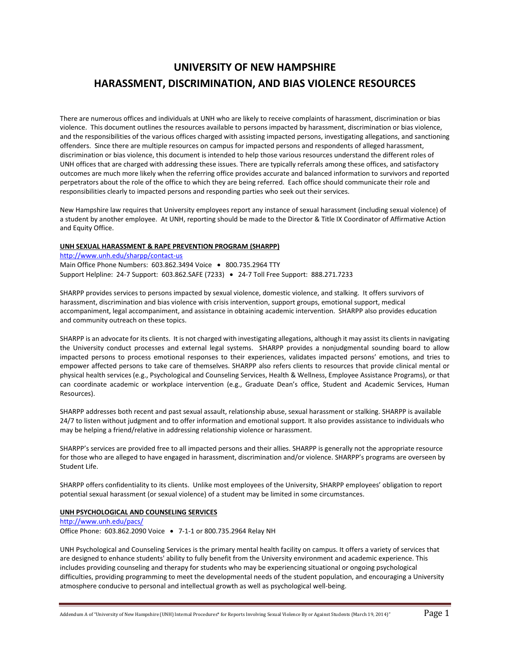# **UNIVERSITY OF NEW HAMPSHIRE HARASSMENT, DISCRIMINATION, AND BIAS VIOLENCE RESOURCES**

There are numerous offices and individuals at UNH who are likely to receive complaints of harassment, discrimination or bias violence. This document outlines the resources available to persons impacted by harassment, discrimination or bias violence, and the responsibilities of the various offices charged with assisting impacted persons, investigating allegations, and sanctioning offenders. Since there are multiple resources on campus for impacted persons and respondents of alleged harassment, discrimination or bias violence, this document is intended to help those various resources understand the different roles of UNH offices that are charged with addressing these issues. There are typically referrals among these offices, and satisfactory outcomes are much more likely when the referring office provides accurate and balanced information to survivors and reported perpetrators about the role of the office to which they are being referred. Each office should communicate their role and responsibilities clearly to impacted persons and responding parties who seek out their services.

New Hampshire law requires that University employees report any instance of sexual harassment (including sexual violence) of a student by another employee. At UNH, reporting should be made to the Director & Title IX Coordinator of Affirmative Action and Equity Office.

#### **UNH SEXUAL HARASSMENT & RAPE PREVENTION PROGRAM (SHARPP)**

<http://www.unh.edu/sharpp/contact-us> Main Office Phone Numbers: 603.862.3494 Voice . 800.735.2964 TTY Support Helpline: 24-7 Support: 603.862.SAFE (7233) . 24-7 Toll Free Support: 888.271.7233

SHARPP provides services to persons impacted by sexual violence, domestic violence, and stalking. It offers survivors of harassment, discrimination and bias violence with crisis intervention, support groups, emotional support, medical accompaniment, legal accompaniment, and assistance in obtaining academic intervention. SHARPP also provides education and community outreach on these topics.

SHARPP is an advocate for its clients. It is not charged with investigating allegations, although it may assist its clients in navigating the University conduct processes and external legal systems. SHARPP provides a nonjudgmental sounding board to allow impacted persons to process emotional responses to their experiences, validates impacted persons' emotions, and tries to empower affected persons to take care of themselves. SHARPP also refers clients to resources that provide clinical mental or physical health services (e.g., Psychological and Counseling Services, Health & Wellness, Employee Assistance Programs), or that can coordinate academic or workplace intervention (e.g., Graduate Dean's office, Student and Academic Services, Human Resources).

SHARPP addresses both recent and past sexual assault, relationship abuse, sexual harassment or stalking. SHARPP is available 24/7 to listen without judgment and to offer information and emotional support. It also provides assistance to individuals who may be helping a friend/relative in addressing relationship violence or harassment.

SHARPP's services are provided free to all impacted persons and their allies. SHARPP is generally not the appropriate resource for those who are alleged to have engaged in harassment, discrimination and/or violence. SHARPP's programs are overseen by Student Life.

SHARPP offers confidentiality to its clients. Unlike most employees of the University, SHARPP employees' obligation to report potential sexual harassment (or sexual violence) of a student may be limited in some circumstances.

# **UNH PSYCHOLOGICAL AND COUNSELING SERVICES**

<http://www.unh.edu/pacs/> Office Phone: 603.862.2090 Voice 7-1-1 or 800.735.2964 Relay NH

UNH Psychological and Counseling Services is the primary mental health facility on campus. It offers a variety of services that are designed to enhance students' ability to fully benefit from the University environment and academic experience. This includes providing counseling and therapy for students who may be experiencing situational or ongoing psychological difficulties, providing programming to meet the developmental needs of the student population, and encouraging a University atmosphere conducive to personal and intellectual growth as well as psychological well-being.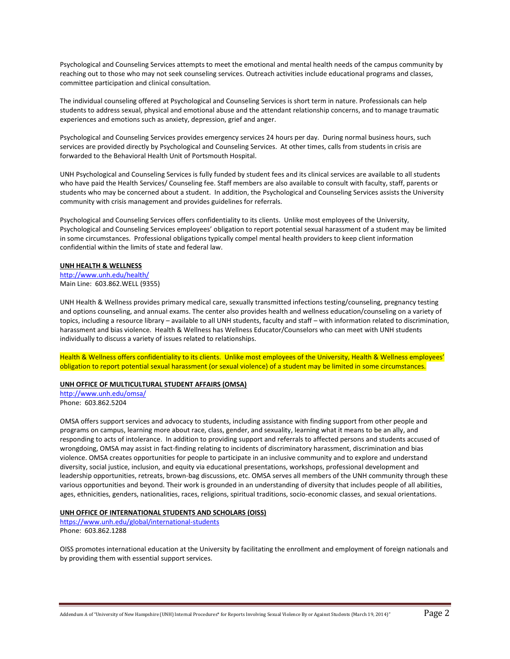Psychological and Counseling Services attempts to meet the emotional and mental health needs of the campus community by reaching out to those who may not seek counseling services. Outreach activities include educational programs and classes, committee participation and clinical consultation.

The individual counseling offered at Psychological and Counseling Services is short term in nature. Professionals can help students to address sexual, physical and emotional abuse and the attendant relationship concerns, and to manage traumatic experiences and emotions such as anxiety, depression, grief and anger.

Psychological and Counseling Services provides emergency services 24 hours per day. During normal business hours, such services are provided directly by Psychological and Counseling Services. At other times, calls from students in crisis are forwarded to the Behavioral Health Unit of Portsmouth Hospital.

UNH Psychological and Counseling Services is fully funded by student fees and its clinical services are available to all students who have paid the Health Services/ Counseling fee. Staff members are also available to consult with faculty, staff, parents or students who may be concerned about a student. In addition, the Psychological and Counseling Services assists the University community with crisis management and provides guidelines for referrals.

Psychological and Counseling Services offers confidentiality to its clients. Unlike most employees of the University, Psychological and Counseling Services employees' obligation to report potential sexual harassment of a student may be limited in some circumstances. Professional obligations typically compel mental health providers to keep client information confidential within the limits of state and federal law.

#### **UNH HEALTH & WELLNESS**

<http://www.unh.edu/health/> Main Line: 603.862.WELL (9355)

UNH Health & Wellness provides primary medical care, sexually transmitted infections testing/counseling, pregnancy testing and options counseling, and annual exams. The center also provides health and wellness education/counseling on a variety of topics, including a resource library – available to all UNH students, faculty and staff – with information related to discrimination, harassment and bias violence. Health & Wellness has Wellness Educator/Counselors who can meet with UNH students individually to discuss a variety of issues related to relationships.

Health & Wellness offers confidentiality to its clients. Unlike most employees of the University, Health & Wellness employees' obligation to report potential sexual harassment (or sexual violence) of a student may be limited in some circumstances.

### **UNH OFFICE OF MULTICULTURAL STUDENT AFFAIRS (OMSA)**

<http://www.unh.edu/omsa/> Phone: 603.862.5204

OMSA offers support services and advocacy to students, including assistance with finding support from other people and programs on campus, learning more about race, class, gender, and sexuality, learning what it means to be an ally, and responding to acts of intolerance. In addition to providing support and referrals to affected persons and students accused of wrongdoing, OMSA may assist in fact-finding relating to incidents of discriminatory harassment, discrimination and bias violence. OMSA creates opportunities for people to participate in an inclusive community and to explore and understand diversity, social justice, inclusion, and equity via educational presentations, workshops, professional development and leadership opportunities, retreats, brown-bag discussions, etc. OMSA serves all members of the UNH community through these various opportunities and beyond. Their work is grounded in an understanding of diversity that includes people of all abilities, ages, ethnicities, genders, nationalities, races, religions, spiritual traditions, socio-economic classes, and sexual orientations.

## **UNH OFFICE OF INTERNATIONAL STUDENTS AND SCHOLARS (OISS)**

<https://www.unh.edu/global/international-students> Phone: 603.862.1288

OISS promotes international education at the University by facilitating the enrollment and employment of foreign nationals and by providing them with essential support services.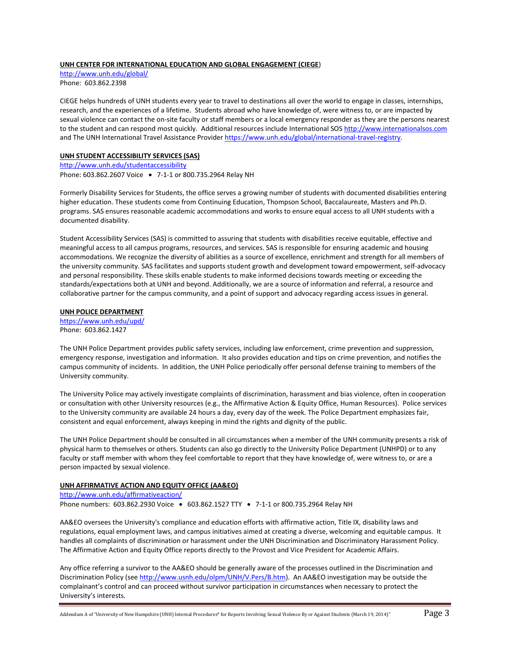#### **UNH CENTER FOR INTERNATIONAL EDUCATION AND GLOBAL ENGAGEMENT (CIEGE**)

<http://www.unh.edu/global/> Phone: 603.862.2398

CIEGE helps hundreds of UNH students every year to travel to destinations all over the world to engage in classes, internships, research, and the experiences of a lifetime. Students abroad who have knowledge of, were witness to, or are impacted by sexual violence can contact the on-site faculty or staff members or a local emergency responder as they are the persons nearest to the student and can respond most quickly. Additional resources include International SOS [http://www.internationalsos.com](http://www.internationalsos.com/) and The UNH International Travel Assistance Provider [https://www.unh.edu/global/international-travel-registry.](https://www.unh.edu/global/international-travel-registry)

## **UNH STUDENT ACCESSIBILITY SERVICES (SAS)**

<http://www.unh.edu/studentaccessibility> Phone: 603.862.2607 Voice 7-1-1 or 800.735.2964 Relay NH

Formerly Disability Services for Students, the office serves a growing number of students with documented disabilities entering higher education. These students come from Continuing Education, Thompson School, Baccalaureate, Masters and Ph.D. programs. SAS ensures reasonable academic accommodations and works to ensure equal access to all UNH students with a documented disability.

Student Accessibility Services (SAS) is committed to assuring that students with disabilities receive equitable, effective and meaningful access to all campus programs, resources, and services. SAS is responsible for ensuring academic and housing accommodations. We recognize the diversity of abilities as a source of excellence, enrichment and strength for all members of the university community. SAS facilitates and supports student growth and development toward empowerment, self-advocacy and personal responsibility. These skills enable students to make informed decisions towards meeting or exceeding the standards/expectations both at UNH and beyond. Additionally, we are a source of information and referral, a resource and collaborative partner for the campus community, and a point of support and advocacy regarding access issues in general.

#### **UNH POLICE DEPARTMENT**

<https://www.unh.edu/upd/> Phone: 603.862.1427

The UNH Police Department provides public safety services, including law enforcement, crime prevention and suppression, emergency response, investigation and information. It also provides education and tips on crime prevention, and notifies the campus community of incidents. In addition, the UNH Police periodically offer personal defense training to members of the University community.

The University Police may actively investigate complaints of discrimination, harassment and bias violence, often in cooperation or consultation with other University resources (e.g., the Affirmative Action & Equity Office, Human Resources). Police services to the University community are available 24 hours a day, every day of the week. The Police Department emphasizes fair, consistent and equal enforcement, always keeping in mind the rights and dignity of the public.

The UNH Police Department should be consulted in all circumstances when a member of the UNH community presents a risk of physical harm to themselves or others. Students can also go directly to the University Police Department (UNHPD) or to any faculty or staff member with whom they feel comfortable to report that they have knowledge of, were witness to, or are a person impacted by sexual violence.

## **UNH AFFIRMATIVE ACTION AND EQUITY OFFICE (AA&EO)**

<http://www.unh.edu/affirmativeaction/> Phone numbers: 603.862.2930 Voice . 603.862.1527 TTY . 7-1-1 or 800.735.2964 Relay NH

AA&EO oversees the University's compliance and education efforts with affirmative action, Title IX, disability laws and regulations, equal employment laws, and campus initiatives aimed at creating a diverse, welcoming and equitable campus. It handles all complaints of discrimination or harassment under the UNH Discrimination and Discriminatory Harassment Policy. The Affirmative Action and Equity Office reports directly to the Provost and Vice President for Academic Affairs.

Any office referring a survivor to the AA&EO should be generally aware of the processes outlined in the Discrimination and Discrimination Policy (se[e http://www.usnh.edu/olpm/UNH/V.Pers/B.htm\)](http://www.usnh.edu/olpm/UNH/V.Pers/B.htm). An AA&EO investigation may be outside the complainant's control and can proceed without survivor participation in circumstances when necessary to protect the University's interests.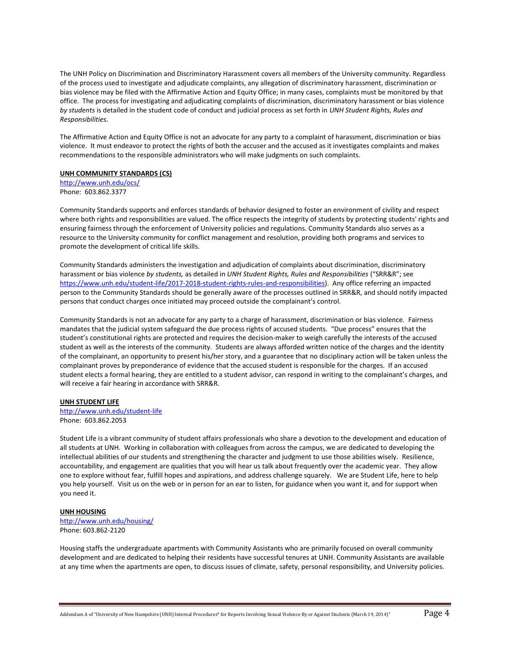The UNH Policy on Discrimination and Discriminatory Harassment covers all members of the University community. Regardless of the process used to investigate and adjudicate complaints, any allegation of discriminatory harassment, discrimination or bias violence may be filed with the Affirmative Action and Equity Office; in many cases, complaints must be monitored by that office. The process for investigating and adjudicating complaints of discrimination, discriminatory harassment or bias violence *by students* is detailed in the student code of conduct and judicial process as set forth in *UNH Student Rights, Rules and Responsibilities.*

The Affirmative Action and Equity Office is not an advocate for any party to a complaint of harassment, discrimination or bias violence. It must endeavor to protect the rights of both the accuser and the accused as it investigates complaints and makes recommendations to the responsible administrators who will make judgments on such complaints.

#### **UNH COMMUNITY STANDARDS (CS)**

<http://www.unh.edu/ocs/> Phone: 603.862.3377

Community Standards supports and enforces standards of behavior designed to foster an environment of civility and respect where both rights and responsibilities are valued. The office respects the integrity of students by protecting students' rights and ensuring fairness through the enforcement of University policies and regulations. Community Standards also serves as a resource to the University community for conflict management and resolution, providing both programs and services to promote the development of critical life skills.

Community Standards administers the investigation and adjudication of complaints about discrimination, discriminatory harassment or bias violence *by students,* as detailed in *UNH Student Rights, Rules and Responsibilities* ("SRR&R"; see [https://www.unh.edu/student-life/2017-2018-student-rights-rules-and-responsibilities\)](https://www.unh.edu/student-life/2017-2018-student-rights-rules-and-responsibilities). Any office referring an impacted person to the Community Standards should be generally aware of the processes outlined in SRR&R, and should notify impacted persons that conduct charges once initiated may proceed outside the complainant's control.

Community Standards is not an advocate for any party to a charge of harassment, discrimination or bias violence. Fairness mandates that the judicial system safeguard the due process rights of accused students. "Due process" ensures that the student's constitutional rights are protected and requires the decision-maker to weigh carefully the interests of the accused student as well as the interests of the community. Students are always afforded written notice of the charges and the identity of the complainant, an opportunity to present his/her story, and a guarantee that no disciplinary action will be taken unless the complainant proves by preponderance of evidence that the accused student is responsible for the charges. If an accused student elects a formal hearing, they are entitled to a student advisor, can respond in writing to the complainant's charges, and will receive a fair hearing in accordance with SRR&R.

#### **UNH STUDENT LIFE**

<http://www.unh.edu/student-life> Phone: 603.862.2053

Student Life is a vibrant community of student affairs professionals who share a devotion to the development and education of all students at UNH. Working in collaboration with colleagues from across the campus, we are dedicated to developing the intellectual abilities of our students and strengthening the character and judgment to use those abilities wisely. Resilience, accountability, and engagement are qualities that you will hear us talk about frequently over the academic year. They allow one to explore without fear, fulfill hopes and aspirations, and address challenge squarely. We are Student Life, here to help you help yourself. Visit us on the web or in person for an ear to listen, for guidance when you want it, and for support when you need it.

#### **UNH HOUSING**

<http://www.unh.edu/housing/> Phone: 603.862-2120

Housing staffs the undergraduate apartments with Community Assistants who are primarily focused on overall community development and are dedicated to helping their residents have successful tenures at UNH. Community Assistants are available at any time when the apartments are open, to discuss issues of climate, safety, personal responsibility, and University policies.